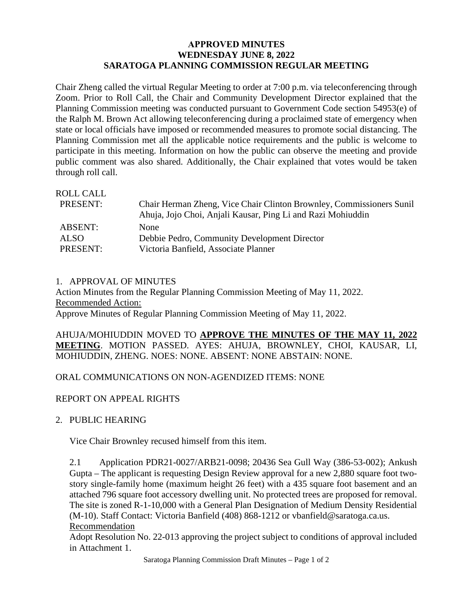## **APPROVED MINUTES WEDNESDAY JUNE 8, 2022 SARATOGA PLANNING COMMISSION REGULAR MEETING**

Chair Zheng called the virtual Regular Meeting to order at 7:00 p.m. via teleconferencing through Zoom. Prior to Roll Call, the Chair and Community Development Director explained that the Planning Commission meeting was conducted pursuant to Government Code section 54953(e) of the Ralph M. Brown Act allowing teleconferencing during a proclaimed state of emergency when state or local officials have imposed or recommended measures to promote social distancing. The Planning Commission met all the applicable notice requirements and the public is welcome to participate in this meeting. Information on how the public can observe the meeting and provide public comment was also shared. Additionally, the Chair explained that votes would be taken through roll call.

| Chair Herman Zheng, Vice Chair Clinton Brownley, Commissioners Sunil<br>Ahuja, Jojo Choi, Anjali Kausar, Ping Li and Razi Mohiuddin |
|-------------------------------------------------------------------------------------------------------------------------------------|
| <b>None</b>                                                                                                                         |
| Debbie Pedro, Community Development Director                                                                                        |
| Victoria Banfield, Associate Planner                                                                                                |
|                                                                                                                                     |

## 1. APPROVAL OF MINUTES

Action Minutes from the Regular Planning Commission Meeting of May 11, 2022. Recommended Action: Approve Minutes of Regular Planning Commission Meeting of May 11, 2022.

AHUJA/MOHIUDDIN MOVED TO **APPROVE THE MINUTES OF THE MAY 11, 2022 MEETING**. MOTION PASSED. AYES: AHUJA, BROWNLEY, CHOI, KAUSAR, LI, MOHIUDDIN, ZHENG. NOES: NONE. ABSENT: NONE ABSTAIN: NONE.

## ORAL COMMUNICATIONS ON NON-AGENDIZED ITEMS: NONE

## REPORT ON APPEAL RIGHTS

2. PUBLIC HEARING

Vice Chair Brownley recused himself from this item.

2.1 Application PDR21-0027/ARB21-0098; 20436 Sea Gull Way (386-53-002); Ankush Gupta – The applicant is requesting Design Review approval for a new 2,880 square foot twostory single-family home (maximum height 26 feet) with a 435 square foot basement and an attached 796 square foot accessory dwelling unit. No protected trees are proposed for removal. The site is zoned R-1-10,000 with a General Plan Designation of Medium Density Residential (M-10). Staff Contact: Victoria Banfield (408) 868-1212 or vbanfield@saratoga.ca.us. Recommendation

Adopt Resolution No. 22-013 approving the project subject to conditions of approval included in Attachment 1.